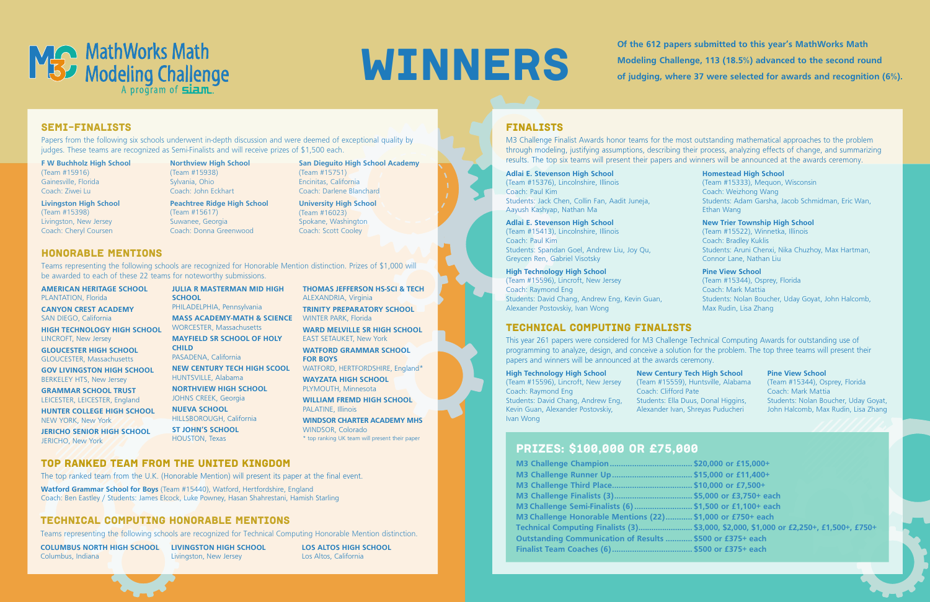

Of the 612 papers submitted to this year's MathWorks Math<br>Modeling Challenge, 113 (18.5%) advanced to the second rou<br>of judging where 37 were selected for awards and recognitive **Modeling Challenge, 113 (18.5%) advanced to the second round of judging, where 37 were selected for awards and recognition (6%).**

### Honorable Mentions

Teams representing the following schools are recognized for Honorable Mention distinction. Prizes of \$1,000 will be awarded to each of these 22 teams for noteworthy submissions.

**AMERICAN HERITAGE SCHOOL** PLANTATION, Florida

**CANYON CREST ACADEMY** SAN DIEGO, California

**HIGH TECHNOLOGY HIGH SCHOOL** LINCROFT, New Jersey

**GLOUCESTER HIGH SCHOOL** GLOUCESTER, Massachusetts

**GOV LIVINGSTON HIGH SCHOOL** BERKELEY HTS, New Jersey

**GRAMMAR SCHOOL TRUST** LEICESTER, LEICESTER, England

**HUNTER COLLEGE HIGH SCHOOL** NEW YORK, New York

**JERICHO SENIOR HIGH SCHOOL** JERICHO, New York

**JULIA R MASTERMAN MID HIGH SCHOOL** PHILADELPHIA, Pennsylvania **MASS ACADEMY-MATH & SCIENCE** WINTER PARK, Florida WORCESTER, Massachusetts **MAYFIELD SR SCHOOL OF HOLY CHILD**

PASADENA, California **NEW CENTURY TECH HIGH SCOOL**

HUNTSVILLE, Alabama **NORTHVIEW HIGH SCHOOL**

JOHNS CREEK, Georgia **NUEVA SCHOOL**

HILLSBOROUGH, California **ST JOHN'S SCHOOL**

HOUSTON, Texas

**THOMAS JEFFERSON HS-SCI & TECH** ALEXANDRIA, Virginia **TRINITY PREPARATORY SCHOOL**

**WARD MELVILLE SR HIGH SCHOOL** EAST SETAUKET, New York

**WATFORD GRAMMAR SCHOOL FOR BOYS**

WATFORD, HERTFORDSHIRE, England\*

**WAYZATA HIGH SCHOOL** PLYMOUTH, Minnesota

**WILLIAM FREMD HIGH SCHOOL** PALATINE, Illinois

**WINDSOR CHARTER ACADEMY MHS** WINDSOR, Colorado \* top ranking UK team will present their paper

**F W Buchholz High School**  (Team #15916) Gainesville, Florida Coach: Ziwei Lu

**Livingston High School** (Team #15398) Livingston, New Jersey Coach: Cheryl Coursen

**Northview High School** (Team #15938) Sylvania, Ohio Coach: John Eckhart **Peachtree Ridge High School**

- (Team #15617) Suwanee, Georgia Coach: Donna Greenwood
- **San Dieguito High School Academy** (Team #15751) Encinitas, California Coach: Darlene Blanchard

**University High School** (Team #16023) Spokane, Washington Coach: Scott Cooley

### Semi-Finalists

Papers from the following six schools underwent in-depth discussion and were deemed of exceptional quality by judges. These teams are recognized as Semi-Finalists and will receive prizes of \$1,500 each.

### **Adlai E. Stevenson High School**

(Team #15376), Lincolnshire, Illinois Coach: Paul Kim Students: Jack Chen, Collin Fan, Aadit Juneja, Aayush Kashyap, Nathan Ma

### **Adlai E. Stevenson High School**

(Team #15413), Lincolnshire, Illinois Coach: Paul Kim Students: Spandan Goel, Andrew Liu, Joy Qu, Greycen Ren, Gabriel Visotsky

### **High Technology High School**

(Team #15596), Lincroft, New Jersey Coach: Raymond Eng Students: David Chang, Andrew Eng, Kevin Guan, Alexander Postovskiy, Ivan Wong

### **Homestead High School**

(Team #15333), Mequon, Wisconsin Coach: Weizhong Wang Students: Adam Garsha, Jacob Schmidman, Eric Wan, Ethan Wang

### **New Trier Township High School**

(Team #15522), Winnetka, Illinois Coach: Bradley Kuklis Students: Aruni Chenxi, Nika Chuzhoy, Max Hartman, Connor Lane, Nathan Liu

### **Pine View School**

(Team #15344), Osprey, Florida Coach: Mark Mattia Students: Nolan Boucher, Uday Goyat, John Halcomb, Max Rudin, Lisa Zhang

M3 Challenge Finalist Awards honor teams for the most outstanding mathematical approaches to the problem through modeling, justifying assumptions, describing their process, analyzing effects of change, and summarizing results. The top six teams will present their papers and winners will be announced at the awards ceremony.

## technical computing FINALISTS

This year 261 papers were considered for M3 Challenge Technical Computing Awards for outstanding use of programming to analyze, design, and conceive a solution for the problem. The top three teams will present their papers and winners will be announced at the awards ceremony.

### **High Technology High School**

(Team #15596), Lincroft, New Jersey Coach: Raymond Eng Students: David Chang, Andrew Eng, Kevin Guan, Alexander Postovskiy, Ivan Wong

Coach: Clifford Pate

**New Century Tech High School** (Team #15559), Huntsville, Alabama Students: Ella Duus, Donal Higgins, Alexander Ivan, Shreyas Puducheri

### **Pine View School**

(Team #15344), Osprey, Florida Coach: Mark Mattia Students: Nolan Boucher, Uday Goyat, John Halcomb, Max Rudin, Lisa Zhang

## TECHNICAL COMPUTING Honorable Mentions

Teams representing the following schools are recognized for Technical Computing Honorable Mention distinction.

**COLUMBUS NORTH HIGH SCHOOL** Columbus, Indiana

**LIVINGSTON HIGH SCHOOL** Livingston, New Jersey

**LOS ALTOS HIGH SCHOOL** Los Altos, California

### **FINALISTS**

# Prizes: \$100,000 OR £75,000

**M3 Challenge Champion..................................... \$20,000 or £15,000+ M3 Challenge Runner Up.................................... \$15,000 or £11,400+ M3 Challenge Third Place.................................... \$10,000 or £7,500+ M3 Challenge Finalists (3)................................... \$5,000 or £3,750+ each M3 Challenge Semi-Finalists (6).......................... \$1,500 or £1,100+ each M3 Challenge Honorable Mentions (22)............ \$1,000 or £750+ each Outstanding Communication of Results ............ \$500 or £375+ each Finalist Team Coaches (6).................................... \$500 or £375+ each**

- 
- 
- 
- 
- 
- 
- **Technical Computing Finalists (3)......................... \$3,000, \$2,000, \$1,000 or £2,250+, £1,500+, £750+**
	-
	-

TOP RANKed TEAM FROM THE UNITED KINGDOM

The top ranked team from the U.K. (Honorable Mention) will present its paper at the final event.

**Watford Grammar School for Boys** (Team #15440), Watford, Hertfordshire, England Coach: Ben Eastley / Students: James Elcock, Luke Powney, Hasan Shahrestani, Hamish Starling